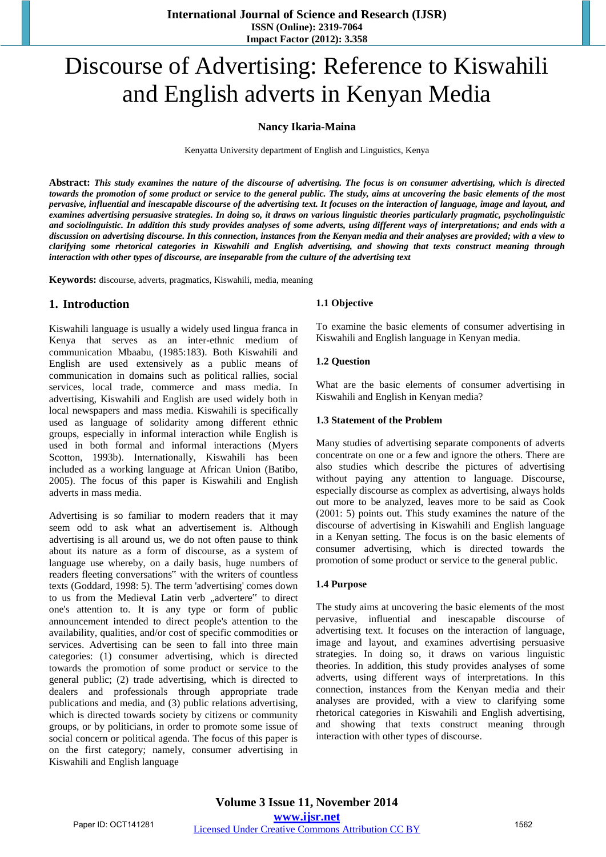# Discourse of Advertising: Reference to Kiswahili and English adverts in Kenyan Media

#### **Nancy Ikaria-Maina**

Kenyatta University department of English and Linguistics, Kenya

Abstract: This study examines the nature of the discourse of advertising. The focus is on consumer advertising, which is directed towards the promotion of some product or service to the general public. The study, aims at uncovering the basic elements of the most pervasive, influential and inescapable discourse of the advertising text. It focuses on the interaction of language, image and layout, and examines advertising persuasive strategies. In doing so, it draws on various linguistic theories particularly pragmatic, psycholinguistic and sociolinguistic. In addition this study provides analyses of some adverts, using different ways of interpretations; and ends with a discussion on advertising discourse. In this connection, instances from the Kenyan media and their analyses are provided; with a view to clarifying some rhetorical categories in Kiswahili and English advertising, and showing that texts construct meaning through *interaction with other types of discourse, are inseparable from the culture of the advertising text* 

**Keywords:** discourse, adverts, pragmatics, Kiswahili, media, meaning

## **1. Introduction**

Kiswahili language is usually a widely used lingua franca in Kenya that serves as an inter-ethnic medium of communication Mbaabu, (1985:183). Both Kiswahili and English are used extensively as a public means of communication in domains such as political rallies, social services, local trade, commerce and mass media. In advertising, Kiswahili and English are used widely both in local newspapers and mass media. Kiswahili is specifically used as language of solidarity among different ethnic groups, especially in informal interaction while English is used in both formal and informal interactions (Myers Scotton, 1993b). Internationally, Kiswahili has been included as a working language at African Union (Batibo, 2005). The focus of this paper is Kiswahili and English adverts in mass media.

Advertising is so familiar to modern readers that it may seem odd to ask what an advertisement is. Although advertising is all around us, we do not often pause to think about its nature as a form of discourse, as a system of language use whereby, on a daily basis, huge numbers of readers fleeting conversations" with the writers of countless texts (Goddard, 1998: 5). The term 'advertising' comes down to us from the Medieval Latin verb "advertere" to direct one's attention to. It is any type or form of public announcement intended to direct people's attention to the availability, qualities, and/or cost of specific commodities or services. Advertising can be seen to fall into three main categories: (1) consumer advertising, which is directed towards the promotion of some product or service to the general public; (2) trade advertising, which is directed to dealers and professionals through appropriate trade publications and media, and (3) public relations advertising, which is directed towards society by citizens or community groups, or by politicians, in order to promote some issue of social concern or political agenda. The focus of this paper is on the first category; namely, consumer advertising in Kiswahili and English language

#### **1.1 Objective**

To examine the basic elements of consumer advertising in Kiswahili and English language in Kenyan media.

#### **1.2 Question**

What are the basic elements of consumer advertising in Kiswahili and English in Kenyan media?

#### **1.3 Statement of the Problem**

Many studies of advertising separate components of adverts concentrate on one or a few and ignore the others. There are also studies which describe the pictures of advertising without paying any attention to language. Discourse, especially discourse as complex as advertising, always holds out more to be analyzed, leaves more to be said as Cook (2001: 5) points out. This study examines the nature of the discourse of advertising in Kiswahili and English language in a Kenyan setting. The focus is on the basic elements of consumer advertising, which is directed towards the promotion of some product or service to the general public.

#### **1.4 Purpose**

The study aims at uncovering the basic elements of the most pervasive, influential and inescapable discourse of advertising text. It focuses on the interaction of language, image and layout, and examines advertising persuasive strategies. In doing so, it draws on various linguistic theories. In addition, this study provides analyses of some adverts, using different ways of interpretations. In this connection, instances from the Kenyan media and their analyses are provided, with a view to clarifying some rhetorical categories in Kiswahili and English advertising, and showing that texts construct meaning through interaction with other types of discourse.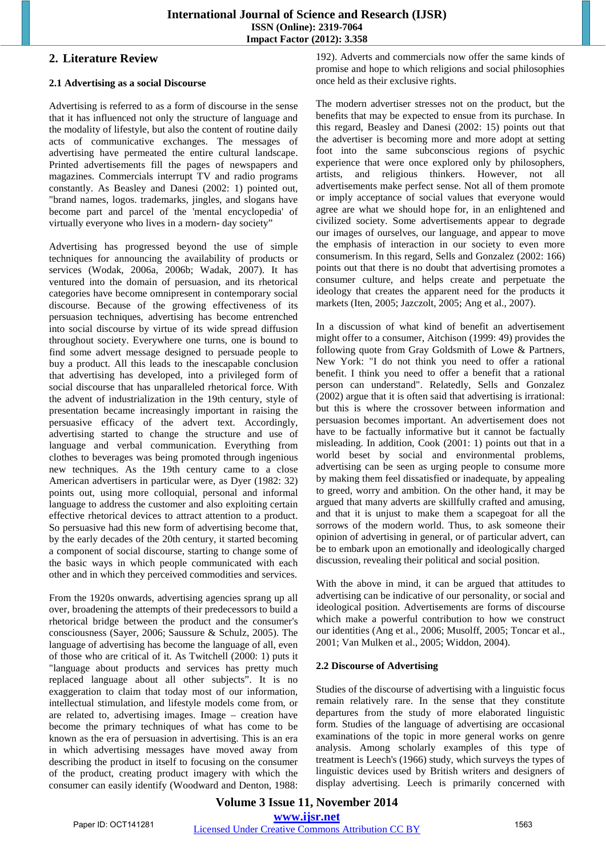## **2. Literature Review**

#### **2.1 Advertising as a social Discourse**

Advertising is referred to as a form of discourse in the sense that it has influenced not only the structure of language and the modality of lifestyle, but also the content of routine daily acts of communicative exchanges. The messages of advertising have permeated the entire cultural landscape. Printed advertisements fill the pages of newspapers and magazines. Commercials interrupt TV and radio programs constantly. As Beasley and Danesi (2002: 1) pointed out, "brand names, logos. trademarks, jingles, and slogans have become part and parcel of the 'mental encyclopedia' of virtually everyone who lives in a modern- day society"

Advertising has progressed beyond the use of simple techniques for announcing the availability of products or services (Wodak, 2006a, 2006b; Wadak, 2007). It has ventured into the domain of persuasion, and its rhetorical categories have become omnipresent in contemporary social discourse. Because of the growing effectiveness of its persuasion techniques, advertising has become entrenched into social discourse by virtue of its wide spread diffusion throughout society. Everywhere one turns, one is bound to find some advert message designed to persuade people to buy a product. All this leads to the inescapable conclusion that advertising has developed, into a privileged form of social discourse that has unparalleled rhetorical force. With the advent of industrialization in the 19th century, style of presentation became increasingly important in raising the persuasive efficacy of the advert text. Accordingly, advertising started to change the structure and use of language and verbal communication. Everything from clothes to beverages was being promoted through ingenious new techniques. As the 19th century came to a close American advertisers in particular were, as Dyer (1982: 32) points out, using more colloquial, personal and informal language to address the customer and also exploiting certain effective rhetorical devices to attract attention to a product. So persuasive had this new form of advertising become that, by the early decades of the 20th century, it started becoming a component of social discourse, starting to change some of the basic ways in which people communicated with each other and in which they perceived commodities and services.

From the 1920s onwards, advertising agencies sprang up all over, broadening the attempts of their predecessors to build a rhetorical bridge between the product and the consumer's consciousness (Sayer, 2006; Saussure & Schulz, 2005). The language of advertising has become the language of all, even of those who are critical of it. As Twitchell (2000: 1) puts it "language about products and services has pretty much replaced language about all other subjects". It is no exaggeration to claim that today most of our information, intellectual stimulation, and lifestyle models come from, or are related to, advertising images. Image – creation have become the primary techniques of what has come to be known as the era of persuasion in advertising. This is an era in which advertising messages have moved away from describing the product in itself to focusing on the consumer of the product, creating product imagery with which the consumer can easily identify (Woodward and Denton, 1988:

192). Adverts and commercials now offer the same kinds of promise and hope to which religions and social philosophies once held as their exclusive rights.

The modern advertiser stresses not on the product, but the benefits that may be expected to ensue from its purchase. In this regard, Beasley and Danesi (2002: 15) points out that the advertiser is becoming more and more adopt at setting foot into the same subconscious regions of psychic experience that were once explored only by philosophers, artists, and religious thinkers. However, not all advertisements make perfect sense. Not all of them promote or imply acceptance of social values that everyone would agree are what we should hope for, in an enlightened and civilized society. Some advertisements appear to degrade our images of ourselves, our language, and appear to move the emphasis of interaction in our society to even more consumerism. In this regard, Sells and Gonzalez (2002: 166) points out that there is no doubt that advertising promotes a consumer culture, and helps create and perpetuate the ideology that creates the apparent need for the products it markets (Iten, 2005; Jazczolt, 2005; Ang et al., 2007).

In a discussion of what kind of benefit an advertisement might offer to a consumer, Aitchison (1999: 49) provides the following quote from Gray Goldsmith of Lowe & Partners, New York: "I do not think you need to offer a rational benefit. I think you need to offer a benefit that a rational person can understand". Relatedly, Sells and Gonzalez (2002) argue that it is often said that advertising is irrational: but this is where the crossover between information and persuasion becomes important. An advertisement does not have to be factually informative but it cannot be factually misleading. In addition, Cook (2001: 1) points out that in a world beset by social and environmental problems, advertising can be seen as urging people to consume more by making them feel dissatisfied or inadequate, by appealing to greed, worry and ambition. On the other hand, it may be argued that many adverts are skillfully crafted and amusing, and that it is unjust to make them a scapegoat for all the sorrows of the modern world. Thus, to ask someone their opinion of advertising in general, or of particular advert, can be to embark upon an emotionally and ideologically charged discussion, revealing their political and social position.

With the above in mind, it can be argued that attitudes to advertising can be indicative of our personality, or social and ideological position. Advertisements are forms of discourse which make a powerful contribution to how we construct our identities (Ang et al., 2006; Musolff, 2005; Toncar et al., 2001; Van Mulken et al., 2005; Widdon, 2004).

#### **2.2 Discourse of Advertising**

Studies of the discourse of advertising with a linguistic focus remain relatively rare. In the sense that they constitute departures from the study of more elaborated linguistic form. Studies of the language of advertising are occasional examinations of the topic in more general works on genre analysis. Among scholarly examples of this type of treatment is Leech's (1966) study, which surveys the types of linguistic devices used by British writers and designers of display advertising. Leech is primarily concerned with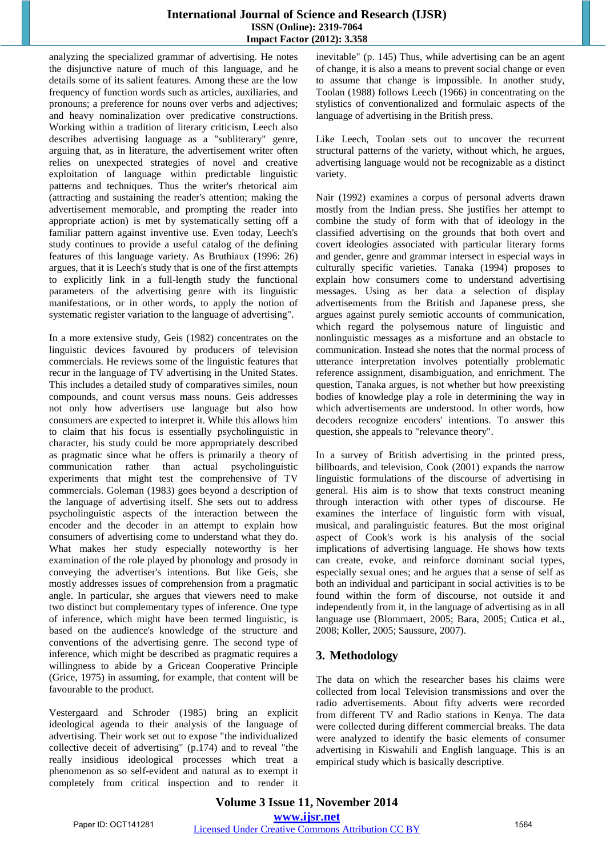### **International Journal of Science and Research (IJSR) ISSN (Online): 2319-7064 Impact Factor (2012): 3.358**

analyzing the specialized grammar of advertising. He notes the disjunctive nature of much of this language, and he details some of its salient features. Among these are the low frequency of function words such as articles, auxiliaries, and pronouns; a preference for nouns over verbs and adjectives; and heavy nominalization over predicative constructions. Working within a tradition of literary criticism, Leech also describes advertising language as a "subliterary" genre, arguing that, as in literature, the advertisement writer often relies on unexpected strategies of novel and creative exploitation of language within predictable linguistic patterns and techniques. Thus the writer's rhetorical aim (attracting and sustaining the reader's attention; making the advertisement memorable, and prompting the reader into appropriate action) is met by systematically setting off a familiar pattern against inventive use. Even today, Leech's study continues to provide a useful catalog of the defining features of this language variety. As Bruthiaux (1996: 26) argues, that it is Leech's study that is one of the first attempts to explicitly link in a full-length study the functional parameters of the advertising genre with its linguistic manifestations, or in other words, to apply the notion of systematic register variation to the language of advertising".

In a more extensive study, Geis (1982) concentrates on the linguistic devices favoured by producers of television commercials. He reviews some of the linguistic features that recur in the language of TV advertising in the United States. This includes a detailed study of comparatives similes, noun compounds, and count versus mass nouns. Geis addresses not only how advertisers use language but also how consumers are expected to interpret it. While this allows him to claim that his focus is essentially psycholinguistic in character, his study could be more appropriately described as pragmatic since what he offers is primarily a theory of communication rather than actual psycholinguistic experiments that might test the comprehensive of TV commercials. Goleman (1983) goes beyond a description of the language of advertising itself. She sets out to address psycholinguistic aspects of the interaction between the encoder and the decoder in an attempt to explain how consumers of advertising come to understand what they do. What makes her study especially noteworthy is her examination of the role played by phonology and prosody in conveying the advertiser's intentions. But like Geis, she mostly addresses issues of comprehension from a pragmatic angle. In particular, she argues that viewers need to make two distinct but complementary types of inference. One type of inference, which might have been termed linguistic, is based on the audience's knowledge of the structure and conventions of the advertising genre. The second type of inference, which might be described as pragmatic requires a willingness to abide by a Gricean Cooperative Principle (Grice, 1975) in assuming, for example, that content will be favourable to the product.

Vestergaard and Schroder (1985) bring an explicit ideological agenda to their analysis of the language of advertising. Their work set out to expose "the individualized collective deceit of advertising" (p.174) and to reveal "the really insidious ideological processes which treat a phenomenon as so self-evident and natural as to exempt it completely from critical inspection and to render it inevitable" (p. 145) Thus, while advertising can be an agent of change, it is also a means to prevent social change or even to assume that change is impossible. In another study, Toolan (1988) follows Leech (1966) in concentrating on the stylistics of conventionalized and formulaic aspects of the language of advertising in the British press.

Like Leech, Toolan sets out to uncover the recurrent structural patterns of the variety, without which, he argues, advertising language would not be recognizable as a distinct variety.

Nair (1992) examines a corpus of personal adverts drawn mostly from the Indian press. She justifies her attempt to combine the study of form with that of ideology in the classified advertising on the grounds that both overt and covert ideologies associated with particular literary forms and gender, genre and grammar intersect in especial ways in culturally specific varieties. Tanaka (1994) proposes to explain how consumers come to understand advertising messages. Using as her data a selection of display advertisements from the British and Japanese press, she argues against purely semiotic accounts of communication, which regard the polysemous nature of linguistic and nonlinguistic messages as a misfortune and an obstacle to communication. Instead she notes that the normal process of utterance interpretation involves potentially problematic reference assignment, disambiguation, and enrichment. The question, Tanaka argues, is not whether but how preexisting bodies of knowledge play a role in determining the way in which advertisements are understood. In other words, how decoders recognize encoders' intentions. To answer this question, she appeals to "relevance theory".

In a survey of British advertising in the printed press, billboards, and television, Cook (2001) expands the narrow linguistic formulations of the discourse of advertising in general. His aim is to show that texts construct meaning through interaction with other types of discourse. He examines the interface of linguistic form with visual, musical, and paralinguistic features. But the most original aspect of Cook's work is his analysis of the social implications of advertising language. He shows how texts can create, evoke, and reinforce dominant social types, especially sexual ones; and he argues that a sense of self as both an individual and participant in social activities is to be found within the form of discourse, not outside it and independently from it, in the language of advertising as in all language use (Blommaert, 2005; Bara, 2005; Cutica et al., 2008; Koller, 2005; Saussure, 2007).

# **3. Methodology**

The data on which the researcher bases his claims were collected from local Television transmissions and over the radio advertisements. About fifty adverts were recorded from different TV and Radio stations in Kenya. The data were collected during different commercial breaks. The data were analyzed to identify the basic elements of consumer advertising in Kiswahili and English language. This is an empirical study which is basically descriptive.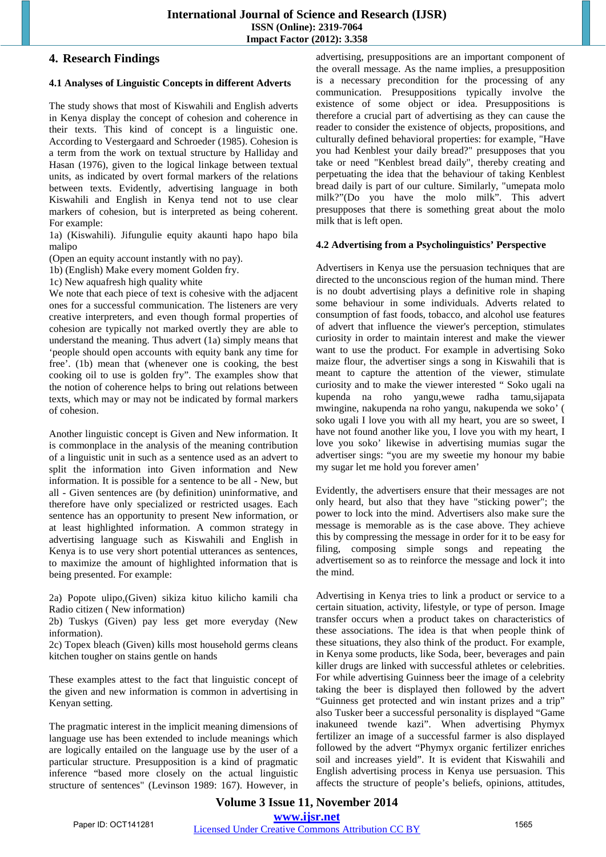## **4. Research Findings**

#### **4.1 Analyses of Linguistic Concepts in different Adverts**

The study shows that most of Kiswahili and English adverts in Kenya display the concept of cohesion and coherence in their texts. This kind of concept is a linguistic one. According to Vestergaard and Schroeder (1985). Cohesion is a term from the work on textual structure by Halliday and Hasan (1976), given to the logical linkage between textual units, as indicated by overt formal markers of the relations between texts. Evidently, advertising language in both Kiswahili and English in Kenya tend not to use clear markers of cohesion, but is interpreted as being coherent. For example:

1a) (Kiswahili). Jifungulie equity akaunti hapo hapo bila malipo

(Open an equity account instantly with no pay).

1b) (English) Make every moment Golden fry.

1c) New aquafresh high quality white

We note that each piece of text is cohesive with the adjacent ones for a successful communication. The listeners are very creative interpreters, and even though formal properties of cohesion are typically not marked overtly they are able to understand the meaning. Thus advert (1a) simply means that 'people should open accounts with equity bank any time for free'. (1b) mean that (whenever one is cooking, the best cooking oil to use is golden fry". The examples show that the notion of coherence helps to bring out relations between texts, which may or may not be indicated by formal markers of cohesion.

Another linguistic concept is Given and New information. It is commonplace in the analysis of the meaning contribution of a linguistic unit in such as a sentence used as an advert to split the information into Given information and New information. It is possible for a sentence to be all - New, but all - Given sentences are (by definition) uninformative, and therefore have only specialized or restricted usages. Each sentence has an opportunity to present New information, or at least highlighted information. A common strategy in advertising language such as Kiswahili and English in Kenya is to use very short potential utterances as sentences, to maximize the amount of highlighted information that is being presented. For example:

2a) Popote ulipo,(Given) sikiza kituo kilicho kamili cha Radio citizen ( New information)

2b) Tuskys (Given) pay less get more everyday (New information).

2c) Topex bleach (Given) kills most household germs cleans kitchen tougher on stains gentle on hands

These examples attest to the fact that linguistic concept of the given and new information is common in advertising in Kenyan setting.

The pragmatic interest in the implicit meaning dimensions of language use has been extended to include meanings which are logically entailed on the language use by the user of a particular structure. Presupposition is a kind of pragmatic inference "based more closely on the actual linguistic structure of sentences" (Levinson 1989: 167). However, in

advertising, presuppositions are an important component of the overall message. As the name implies, a presupposition is a necessary precondition for the processing of any communication. Presuppositions typically involve the existence of some object or idea. Presuppositions is therefore a crucial part of advertising as they can cause the reader to consider the existence of objects, propositions, and culturally defined behavioral properties: for example, "Have you had Kenblest your daily bread?" presupposes that you take or need "Kenblest bread daily", thereby creating and perpetuating the idea that the behaviour of taking Kenblest bread daily is part of our culture. Similarly, "umepata molo milk?"(Do you have the molo milk". This advert presupposes that there is something great about the molo milk that is left open.

#### **4.2 Advertising from a Psycholinguistics' Perspective**

Advertisers in Kenya use the persuasion techniques that are directed to the unconscious region of the human mind. There is no doubt advertising plays a definitive role in shaping some behaviour in some individuals. Adverts related to consumption of fast foods, tobacco, and alcohol use features of advert that influence the viewer's perception, stimulates curiosity in order to maintain interest and make the viewer want to use the product. For example in advertising Soko maize flour, the advertiser sings a song in Kiswahili that is meant to capture the attention of the viewer, stimulate curiosity and to make the viewer interested " Soko ugali na kupenda na roho yangu,wewe radha tamu,sijapata mwingine, nakupenda na roho yangu, nakupenda we soko' ( soko ugali I love you with all my heart, you are so sweet, I have not found another like you, I love you with my heart, I love you soko' likewise in advertising mumias sugar the advertiser sings: "you are my sweetie my honour my babie my sugar let me hold you forever amen'

Evidently, the advertisers ensure that their messages are not only heard, but also that they have "sticking power"; the power to lock into the mind. Advertisers also make sure the message is memorable as is the case above. They achieve this by compressing the message in order for it to be easy for filing, composing simple songs and repeating the advertisement so as to reinforce the message and lock it into the mind.

Advertising in Kenya tries to link a product or service to a certain situation, activity, lifestyle, or type of person. Image transfer occurs when a product takes on characteristics of these associations. The idea is that when people think of these situations, they also think of the product. For example, in Kenya some products, like Soda, beer, beverages and pain killer drugs are linked with successful athletes or celebrities. For while advertising Guinness beer the image of a celebrity taking the beer is displayed then followed by the advert "Guinness get protected and win instant prizes and a trip" also Tusker beer a successful personality is displayed "Game inakuneed twende kazi". When advertising Phymyx fertilizer an image of a successful farmer is also displayed followed by the advert "Phymyx organic fertilizer enriches soil and increases yield". It is evident that Kiswahili and English advertising process in Kenya use persuasion. This affects the structure of people's beliefs, opinions, attitudes,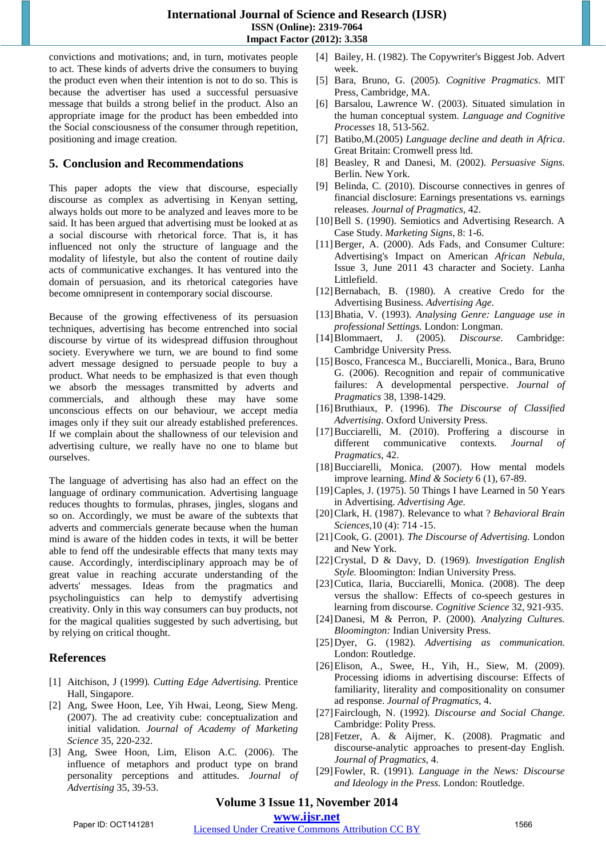convictions and motivations; and, in turn, motivates people to act. These kinds of adverts drive the consumers to buying the product even when their intention is not to do so. This is because the advertiser has used a successful persuasive message that builds a strong belief in the product. Also an appropriate image for the product has been embedded into the Social consciousness of the consumer through repetition, positioning and image creation.

# **5. Conclusion and Recommendations**

This paper adopts the view that discourse, especially discourse as complex as advertising in Kenyan setting, always holds out more to be analyzed and leaves more to be said. It has been argued that advertising must be looked at as a social discourse with rhetorical force. That is, it has influenced not only the structure of language and the modality of lifestyle, but also the content of routine daily acts of communicative exchanges. It has ventured into the domain of persuasion, and its rhetorical categories have become omnipresent in contemporary social discourse.

Because of the growing effectiveness of its persuasion techniques, advertising has become entrenched into social discourse by virtue of its widespread diffusion throughout society. Everywhere we turn, we are bound to find some advert message designed to persuade people to buy a product. What needs to be emphasized is that even though we absorb the messages transmitted by adverts and commercials, and although these may have some unconscious effects on our behaviour, we accept media images only if they suit our already established preferences. If we complain about the shallowness of our television and advertising culture, we really have no one to blame but ourselves.

The language of advertising has also had an effect on the language of ordinary communication. Advertising language reduces thoughts to formulas, phrases, jingles, slogans and so on. Accordingly, we must be aware of the subtexts that adverts and commercials generate because when the human mind is aware of the hidden codes in texts, it will be better able to fend off the undesirable effects that many texts may cause. Accordingly, interdisciplinary approach may be of great value in reaching accurate understanding of the adverts' messages. Ideas from the pragmatics and psycholinguistics can help to demystify advertising creativity. Only in this way consumers can buy products, not for the magical qualities suggested by such advertising, but by relying on critical thought.

# **References**

- [1] Aitchison, J (1999)*. Cutting Edge Advertising.* Prentice Hall, Singapore.
- [2] Ang, Swee Hoon, Lee, Yih Hwai, Leong, Siew Meng. (2007). The ad creativity cube: conceptualization and initial validation. *Journal of Academy of Marketing Science* 35, 220-232.
- [3] Ang, Swee Hoon, Lim, Elison A.C. (2006). The influence of metaphors and product type on brand personality perceptions and attitudes. *Journal of Advertising* 35, 39-53.
- [4] Bailey, H. (1982). The Copywriter's Biggest Job. Advert week.
- [5] Bara, Bruno, G. (2005)*. Cognitive Pragmatics*. MIT Press, Cambridge, MA.
- [6] Barsalou, Lawrence W. (2003). Situated simulation in the human conceptual system*. Language and Cognitive Processes* 18, 513-562.
- [7] Batibo,M.(2005) *Language decline and death in Africa*. Great Britain: Cromwell press ltd.
- [8] Beasley, R and Danesi, M. (2002)*. Persuasive Signs.* Berlin. New York.
- [9] Belinda, C. (2010). Discourse connectives in genres of financial disclosure: Earnings presentations vs. earnings releases. *Journal of Pragmatics,* 42.
- [10] Bell S. (1990). Semiotics and Advertising Research. A Case Study. *Marketing Signs*, 8: 1-6.
- [11]Berger, A. (2000). Ads Fads, and Consumer Culture: Advertising's Impact on American *African Nebula*, Issue 3, June 2011 43 character and Society. Lanha Littlefield.
- [12]Bernabach, B. (1980). A creative Credo for the Advertising Business. *Advertising Age*.
- [13]Bhatia, V. (1993)*. Analysing Genre: Language use in professional Settings.* London: Longman.
- [14]Blommaert, J. (2005)*. Discourse.* Cambridge: Cambridge University Press.
- [15]Bosco, Francesca M., Bucciarelli, Monica., Bara, Bruno G. (2006). Recognition and repair of communicative failures: A developmental perspective. *Journal of Pragmatics* 38, 1398-1429.
- [16]Bruthiaux, P. (1996)*. The Discourse of Classified Advertising*. Oxford University Press.
- [17]Bucciarelli, M. (2010). Proffering a discourse in different communicative contexts. *Journal of Pragmatics*, 42.
- [18]Bucciarelli, Monica. (2007). How mental models improve learning. *Mind & Society* 6 (1), 67-89.
- [19]Caples, J. (1975). 50 Things I have Learned in 50 Years in Advertising. *Advertising Age.*
- [20]Clark, H. (1987). Relevance to what ? *Behavioral Brain Sciences*,10 (4): 714 -15.
- [21]Cook, G. (2001)*. The Discourse of Advertising.* London and New York.
- [22]Crystal, D & Davy, D. (1969)*. Investigation English Style.* Bloomington: Indian University Press.
- [23]Cutica, Ilaria, Bucciarelli, Monica. (2008). The deep versus the shallow: Effects of co-speech gestures in learning from discourse. *Cognitive Science* 32, 921-935.
- [24]Danesi, M & Perron, P. (2000)*. Analyzing Cultures. Bloomington:* Indian University Press.
- [25]Dyer, G. (1982)*. Advertising as communication.* London: Routledge.
- [26] Elison, A., Swee, H., Yih, H., Siew, M. (2009). Processing idioms in advertising discourse: Effects of familiarity, literality and compositionality on consumer ad response. *Journal of Pragmatics*, 4.
- [27]Fairclough, N. (1992)*. Discourse and Social Change.* Cambridge: Polity Press.
- [28]Fetzer, A. & Aijmer, K. (2008). Pragmatic and discourse-analytic approaches to present-day English. *Journal of Pragmatics*, 4.
- [29]Fowler, R. (1991)*. Language in the News: Discourse and Ideology in the Press.* London: Routledge.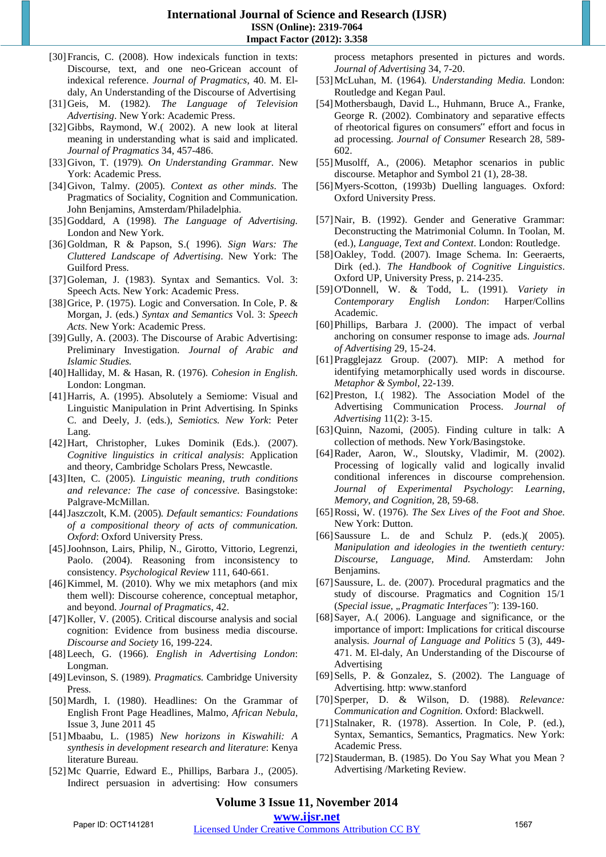- [30] Francis, C. (2008). How indexicals function in texts: Discourse, text, and one neo-Gricean account of indexical reference. *Journal of Pragmatics*, 40. M. Eldaly, An Understanding of the Discourse of Advertising
- [31]Geis, M. (1982)*. The Language of Television Advertising*. New York: Academic Press.
- [32]Gibbs, Raymond, W.( 2002). A new look at literal meaning in understanding what is said and implicated. *Journal of Pragmatics* 34, 457-486.
- [33]Givon, T. (1979)*. On Understanding Grammar.* New York: Academic Press.
- [34]Givon, Talmy. (2005)*. Context as other minds*. The Pragmatics of Sociality, Cognition and Communication. John Benjamins, Amsterdam/Philadelphia.
- [35]Goddard, A (1998)*. The Language of Advertising.* London and New York.
- [36]Goldman, R & Papson, S.( 1996)*. Sign Wars: The Cluttered Landscape of Advertising*. New York: The Guilford Press.
- [37]Goleman, J. (1983). Syntax and Semantics. Vol. 3: Speech Acts. New York: Academic Press.
- [38]Grice, P. (1975). Logic and Conversation. In Cole, P. & Morgan, J. (eds.) *Syntax and Semantics* Vol. 3: *Speech Acts*. New York: Academic Press.
- [39] Gully, A. (2003). The Discourse of Arabic Advertising: Preliminary Investigation. *Journal of Arabic and Islamic Studies.*
- [40]Halliday, M. & Hasan, R. (1976)*. Cohesion in English.* London: Longman.
- [41]Harris, A. (1995). Absolutely a Semiome: Visual and Linguistic Manipulation in Print Advertising. In Spinks C. and Deely, J. (eds.), *Semiotics. New York*: Peter Lang.
- [42]Hart, Christopher, Lukes Dominik (Eds.). (2007). *Cognitive linguistics in critical analysis*: Application and theory, Cambridge Scholars Press, Newcastle.
- [43]Iten, C. (2005)*. Linguistic meaning, truth conditions and relevance: The case of concessive.* Basingstoke: Palgrave-McMillan.
- [44]Jaszczolt, K.M. (2005)*. Default semantics: Foundations of a compositional theory of acts of communication. Oxford*: Oxford University Press.
- [45]Joohnson, Lairs, Philip, N., Girotto, Vittorio, Legrenzi, Paolo. (2004). Reasoning from inconsistency to consistency*. Psychological Review* 111, 640-661.
- [46]Kimmel, M. (2010). Why we mix metaphors (and mix them well): Discourse coherence, conceptual metaphor, and beyond. *Journal of Pragmatics*, 42.
- [47]Koller, V. (2005). Critical discourse analysis and social cognition: Evidence from business media discourse. *Discourse and Society* 16, 199-224.
- [48]Leech, G. (1966)*. English in Advertising London*: Longman.
- [49]Levinson, S. (1989)*. Pragmatics.* Cambridge University Press.
- [50]Mardh, I. (1980). Headlines: On the Grammar of English Front Page Headlines, Malmo, *African Nebula*, Issue 3, June 2011 45
- [51]Mbaabu, L. (1985) *New horizons in Kiswahili: A synthesis in development research and literature*: Kenya literature Bureau.
- [52]Mc Quarrie, Edward E., Phillips, Barbara J., (2005). Indirect persuasion in advertising: How consumers

process metaphors presented in pictures and words. *Journal of Advertising* 34, 7-20.

- [53]McLuhan, M. (1964)*. Understanding Media.* London: Routledge and Kegan Paul.
- [54]Mothersbaugh, David L., Huhmann, Bruce A., Franke, George R. (2002). Combinatory and separative effects of rheotorical figures on consumers" effort and focus in ad processing. *Journal of Consumer* Research 28, 589- 602.
- [55]Musolff, A., (2006). Metaphor scenarios in public discourse. Metaphor and Symbol 21 (1), 28-38.
- [56]Myers-Scotton, (1993b) Duelling languages. Oxford: Oxford University Press.
- [57]Nair, B. (1992). Gender and Generative Grammar: Deconstructing the Matrimonial Column. In Toolan, M. (ed.), *Language, Text and Context*. London: Routledge.
- [58]Oakley, Todd. (2007). Image Schema. In: Geeraerts, Dirk (ed.). *The Handbook of Cognitive Linguistics*. Oxford UP, University Press, p. 214-235.
- [59]O'Donnell, W. & Todd, L. (1991)*. Variety in Contemporary English London*: Harper/Collins Academic.
- [60] Phillips, Barbara J. (2000). The impact of verbal anchoring on consumer response to image ads. *Journal of Advertising* 29, 15-24.
- [61]Pragglejazz Group. (2007). MIP: A method for identifying metamorphically used words in discourse. *Metaphor & Symbol*, 22-139.
- [62]Preston, I.( 1982). The Association Model of the Advertising Communication Process. *Journal of Advertising* 11(2): 3-15.
- [63]Quinn, Nazomi, (2005). Finding culture in talk: A collection of methods. New York/Basingstoke.
- [64]Rader, Aaron, W., Sloutsky, Vladimir, M. (2002). Processing of logically valid and logically invalid conditional inferences in discourse comprehension. *Journal of Experimental Psychology*: *Learning*, *Memory*, *and Cognition*, 28, 59-68.
- [65]Rossi, W. (1976)*. The Sex Lives of the Foot and Shoe.* New York: Dutton.
- [66]Saussure L. de and Schulz P. (eds.)( 2005)*. Manipulation and ideologies in the twentieth century: Discourse, Language, Mind.* Amsterdam: John Benjamins.
- [67]Saussure, L. de. (2007). Procedural pragmatics and the study of discourse. Pragmatics and Cognition 15/1 (*Special issue, "Pragmatic Interfaces"*): 139-160.
- [68]Sayer, A.( 2006). Language and significance, or the importance of import: Implications for critical discourse analysis. *Journal of Language and Politics* 5 (3), 449- 471. M. El-daly, An Understanding of the Discourse of Advertising
- [69] Sells, P. & Gonzalez, S. (2002). The Language of Advertising. http: www.stanford
- [70]Sperper, D. & Wilson, D. (1988)*. Relevance: Communication and Cognition.* Oxford: Blackwell.
- [71] Stalnaker, R. (1978). Assertion. In Cole, P. (ed.), Syntax, Semantics, Semantics, Pragmatics. New York: Academic Press.
- [72] Stauderman, B. (1985). Do You Say What you Mean? Advertising /Marketing Review.